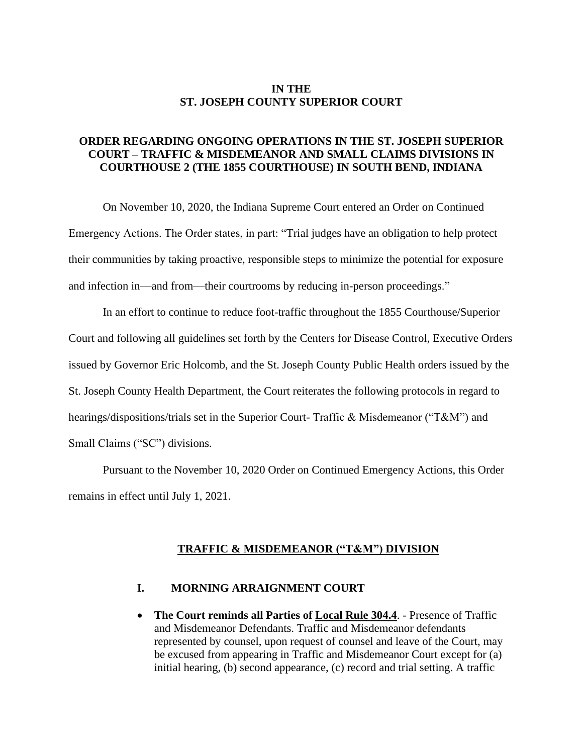### **IN THE ST. JOSEPH COUNTY SUPERIOR COURT**

### **ORDER REGARDING ONGOING OPERATIONS IN THE ST. JOSEPH SUPERIOR COURT – TRAFFIC & MISDEMEANOR AND SMALL CLAIMS DIVISIONS IN COURTHOUSE 2 (THE 1855 COURTHOUSE) IN SOUTH BEND, INDIANA**

On November 10, 2020, the Indiana Supreme Court entered an Order on Continued Emergency Actions. The Order states, in part: "Trial judges have an obligation to help protect their communities by taking proactive, responsible steps to minimize the potential for exposure and infection in—and from—their courtrooms by reducing in-person proceedings."

In an effort to continue to reduce foot-traffic throughout the 1855 Courthouse/Superior Court and following all guidelines set forth by the Centers for Disease Control, Executive Orders issued by Governor Eric Holcomb, and the St. Joseph County Public Health orders issued by the St. Joseph County Health Department, the Court reiterates the following protocols in regard to hearings/dispositions/trials set in the Superior Court- Traffic & Misdemeanor ("T&M") and Small Claims ("SC") divisions.

Pursuant to the November 10, 2020 Order on Continued Emergency Actions, this Order remains in effect until July 1, 2021.

#### **TRAFFIC & MISDEMEANOR ("T&M") DIVISION**

#### **I. MORNING ARRAIGNMENT COURT**

• **The Court reminds all Parties of Local Rule 304.4**. - Presence of Traffic and Misdemeanor Defendants. Traffic and Misdemeanor defendants represented by counsel, upon request of counsel and leave of the Court, may be excused from appearing in Traffic and Misdemeanor Court except for (a) initial hearing, (b) second appearance, (c) record and trial setting. A traffic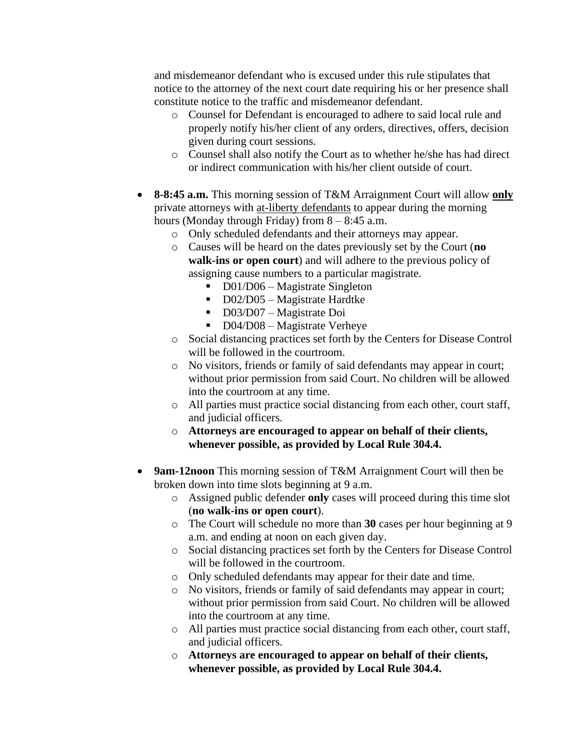and misdemeanor defendant who is excused under this rule stipulates that notice to the attorney of the next court date requiring his or her presence shall constitute notice to the traffic and misdemeanor defendant.

- o Counsel for Defendant is encouraged to adhere to said local rule and properly notify his/her client of any orders, directives, offers, decision given during court sessions.
- o Counsel shall also notify the Court as to whether he/she has had direct or indirect communication with his/her client outside of court.
- **8-8:45 a.m.** This morning session of T&M Arraignment Court will allow **only** private attorneys with at-liberty defendants to appear during the morning hours (Monday through Friday) from 8 – 8:45 a.m.
	- o Only scheduled defendants and their attorneys may appear.
	- o Causes will be heard on the dates previously set by the Court (**no walk-ins or open court**) and will adhere to the previous policy of assigning cause numbers to a particular magistrate.
		- D01/D06 Magistrate Singleton
		- D02/D05 Magistrate Hardtke
		- D03/D07 Magistrate Doi
		- D04/D08 Magistrate Verheye
	- o Social distancing practices set forth by the Centers for Disease Control will be followed in the courtroom.
	- o No visitors, friends or family of said defendants may appear in court; without prior permission from said Court. No children will be allowed into the courtroom at any time.
	- o All parties must practice social distancing from each other, court staff, and judicial officers.
	- o **Attorneys are encouraged to appear on behalf of their clients, whenever possible, as provided by Local Rule 304.4.**
- **9am-12noon** This morning session of T&M Arraignment Court will then be broken down into time slots beginning at 9 a.m.
	- o Assigned public defender **only** cases will proceed during this time slot (**no walk-ins or open court**).
	- o The Court will schedule no more than **30** cases per hour beginning at 9 a.m. and ending at noon on each given day.
	- o Social distancing practices set forth by the Centers for Disease Control will be followed in the courtroom.
	- o Only scheduled defendants may appear for their date and time.
	- o No visitors, friends or family of said defendants may appear in court; without prior permission from said Court. No children will be allowed into the courtroom at any time.
	- o All parties must practice social distancing from each other, court staff, and judicial officers.
	- o **Attorneys are encouraged to appear on behalf of their clients, whenever possible, as provided by Local Rule 304.4.**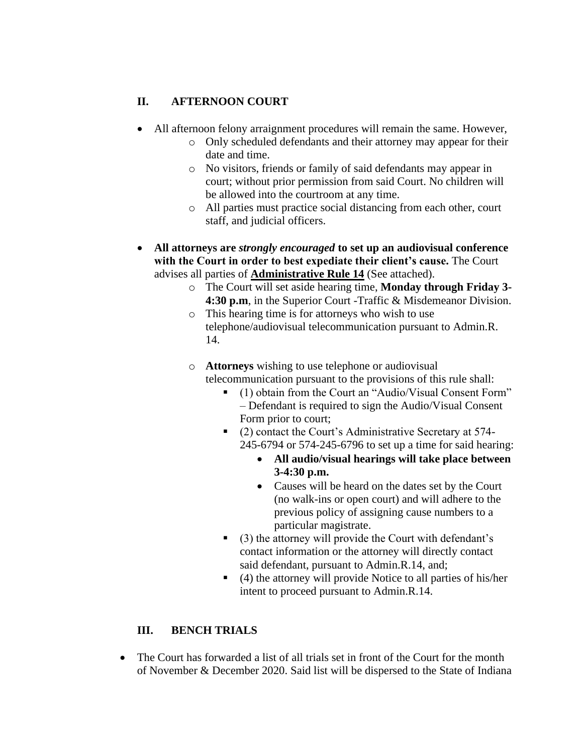## **II. AFTERNOON COURT**

- All afternoon felony arraignment procedures will remain the same. However,
	- o Only scheduled defendants and their attorney may appear for their date and time.
	- o No visitors, friends or family of said defendants may appear in court; without prior permission from said Court. No children will be allowed into the courtroom at any time.
	- o All parties must practice social distancing from each other, court staff, and judicial officers.
- **All attorneys are** *strongly encouraged* **to set up an audiovisual conference with the Court in order to best expediate their client's cause.** The Court advises all parties of **Administrative Rule 14** (See attached).
	- o The Court will set aside hearing time, **Monday through Friday 3- 4:30 p.m**, in the Superior Court -Traffic & Misdemeanor Division.
	- o This hearing time is for attorneys who wish to use telephone/audiovisual telecommunication pursuant to Admin.R. 14.
	- o **Attorneys** wishing to use telephone or audiovisual telecommunication pursuant to the provisions of this rule shall:
		- (1) obtain from the Court an "Audio/Visual Consent Form" – Defendant is required to sign the Audio/Visual Consent Form prior to court;
		- (2) contact the Court's Administrative Secretary at 574-245-6794 or 574-245-6796 to set up a time for said hearing:
			- **All audio/visual hearings will take place between 3-4:30 p.m.**
			- Causes will be heard on the dates set by the Court (no walk-ins or open court) and will adhere to the previous policy of assigning cause numbers to a particular magistrate.
		- (3) the attorney will provide the Court with defendant's contact information or the attorney will directly contact said defendant, pursuant to Admin.R.14, and;
		- (4) the attorney will provide Notice to all parties of his/her intent to proceed pursuant to Admin.R.14.

# **III. BENCH TRIALS**

• The Court has forwarded a list of all trials set in front of the Court for the month of November & December 2020. Said list will be dispersed to the State of Indiana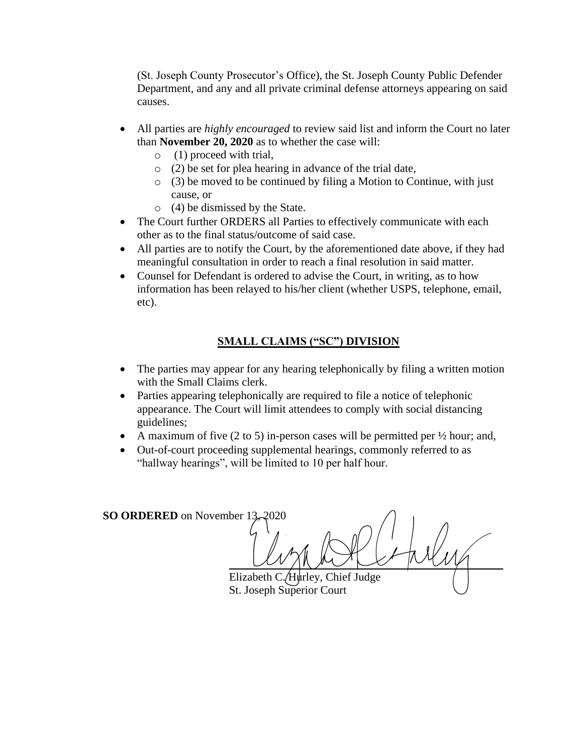(St. Joseph County Prosecutor's Office), the St. Joseph County Public Defender Department, and any and all private criminal defense attorneys appearing on said causes.

- All parties are *highly encouraged* to review said list and inform the Court no later than **November 20, 2020** as to whether the case will:
	- o (1) proceed with trial,
	- o (2) be set for plea hearing in advance of the trial date,
	- o (3) be moved to be continued by filing a Motion to Continue, with just cause, or
	- o (4) be dismissed by the State.
- The Court further ORDERS all Parties to effectively communicate with each other as to the final status/outcome of said case.
- All parties are to notify the Court, by the aforementioned date above, if they had meaningful consultation in order to reach a final resolution in said matter.
- Counsel for Defendant is ordered to advise the Court, in writing, as to how information has been relayed to his/her client (whether USPS, telephone, email, etc).

# **SMALL CLAIMS ("SC") DIVISION**

- The parties may appear for any hearing telephonically by filing a written motion with the Small Claims clerk.
- Parties appearing telephonically are required to file a notice of telephonic appearance. The Court will limit attendees to comply with social distancing guidelines;
- A maximum of five  $(2 \text{ to } 5)$  in-person cases will be permitted per  $\frac{1}{2}$  hour; and,
- Out-of-court proceeding supplemental hearings, commonly referred to as "hallway hearings", will be limited to 10 per half hour.

**SO ORDERED** on November 13  $\frac{1}{2}$ Elizabeth C. Hurley, Chief Judge

St. Joseph Superior Court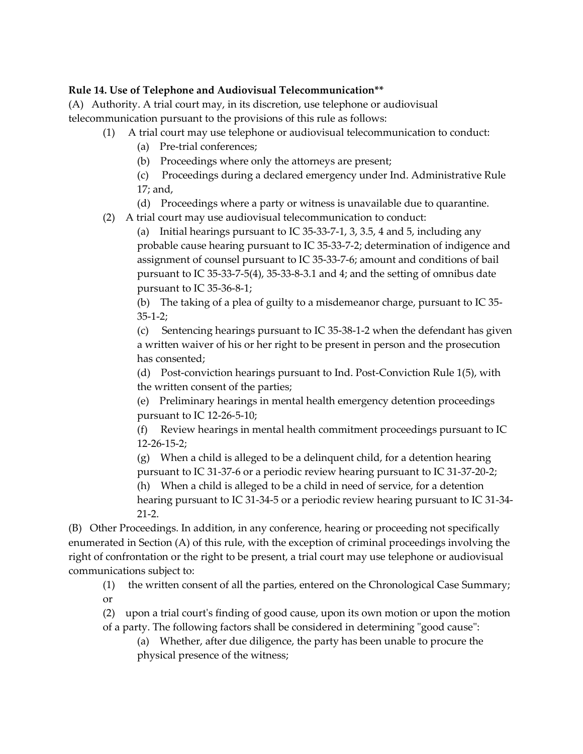### **Rule 14. Use of Telephone and Audiovisual Telecommunication\*\***

(A) Authority. A trial court may, in its discretion, use telephone or audiovisual telecommunication pursuant to the provisions of this rule as follows:

- (1) A trial court may use telephone or audiovisual telecommunication to conduct:
	- (a) Pre-trial conferences;
	- (b) Proceedings where only the attorneys are present;
	- (c) Proceedings during a declared emergency under Ind. Administrative Rule 17; and,
	- (d) Proceedings where a party or witness is unavailable due to quarantine.
- (2) A trial court may use audiovisual telecommunication to conduct:

(a) Initial hearings pursuant to IC 35-33-7-1, 3, 3.5, 4 and 5, including any probable cause hearing pursuant to IC 35-33-7-2; determination of indigence and assignment of counsel pursuant to IC 35-33-7-6; amount and conditions of bail pursuant to IC 35-33-7-5(4), 35-33-8-3.1 and 4; and the setting of omnibus date pursuant to IC 35-36-8-1;

(b) The taking of a plea of guilty to a misdemeanor charge, pursuant to IC 35- 35-1-2;

(c) Sentencing hearings pursuant to IC 35-38-1-2 when the defendant has given a written waiver of his or her right to be present in person and the prosecution has consented;

(d) Post-conviction hearings pursuant to Ind. Post-Conviction Rule 1(5), with the written consent of the parties;

(e) Preliminary hearings in mental health emergency detention proceedings pursuant to IC 12-26-5-10;

(f) Review hearings in mental health commitment proceedings pursuant to IC 12-26-15-2;

(g) When a child is alleged to be a delinquent child, for a detention hearing pursuant to IC 31-37-6 or a periodic review hearing pursuant to IC 31-37-20-2; (h) When a child is alleged to be a child in need of service, for a detention

hearing pursuant to IC 31-34-5 or a periodic review hearing pursuant to IC 31-34- 21-2.

(B) Other Proceedings. In addition, in any conference, hearing or proceeding not specifically enumerated in Section (A) of this rule, with the exception of criminal proceedings involving the right of confrontation or the right to be present, a trial court may use telephone or audiovisual communications subject to:

(1) the written consent of all the parties, entered on the Chronological Case Summary; or

(2) upon a trial court's finding of good cause, upon its own motion or upon the motion of a party. The following factors shall be considered in determining "good cause":

(a) Whether, after due diligence, the party has been unable to procure the physical presence of the witness;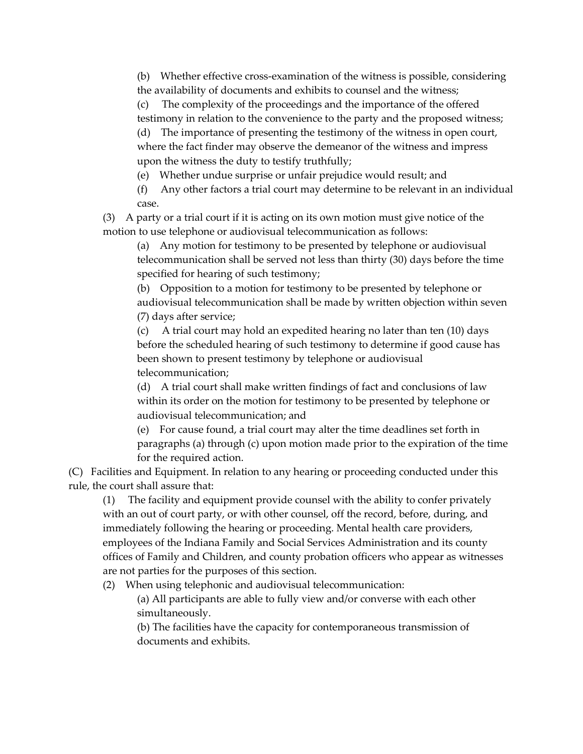(b) Whether effective cross-examination of the witness is possible, considering the availability of documents and exhibits to counsel and the witness;

(c) The complexity of the proceedings and the importance of the offered testimony in relation to the convenience to the party and the proposed witness;

(d) The importance of presenting the testimony of the witness in open court, where the fact finder may observe the demeanor of the witness and impress upon the witness the duty to testify truthfully;

(e) Whether undue surprise or unfair prejudice would result; and

(f) Any other factors a trial court may determine to be relevant in an individual case.

(3) A party or a trial court if it is acting on its own motion must give notice of the motion to use telephone or audiovisual telecommunication as follows:

(a) Any motion for testimony to be presented by telephone or audiovisual telecommunication shall be served not less than thirty (30) days before the time specified for hearing of such testimony;

(b) Opposition to a motion for testimony to be presented by telephone or audiovisual telecommunication shall be made by written objection within seven (7) days after service;

(c) A trial court may hold an expedited hearing no later than ten (10) days before the scheduled hearing of such testimony to determine if good cause has been shown to present testimony by telephone or audiovisual telecommunication;

(d) A trial court shall make written findings of fact and conclusions of law within its order on the motion for testimony to be presented by telephone or audiovisual telecommunication; and

(e) For cause found, a trial court may alter the time deadlines set forth in paragraphs (a) through (c) upon motion made prior to the expiration of the time for the required action.

(C) Facilities and Equipment. In relation to any hearing or proceeding conducted under this rule, the court shall assure that:

(1) The facility and equipment provide counsel with the ability to confer privately with an out of court party, or with other counsel, off the record, before, during, and immediately following the hearing or proceeding. Mental health care providers, employees of the Indiana Family and Social Services Administration and its county offices of Family and Children, and county probation officers who appear as witnesses are not parties for the purposes of this section.

(2) When using telephonic and audiovisual telecommunication:

(a) All participants are able to fully view and/or converse with each other simultaneously.

(b) The facilities have the capacity for contemporaneous transmission of documents and exhibits.